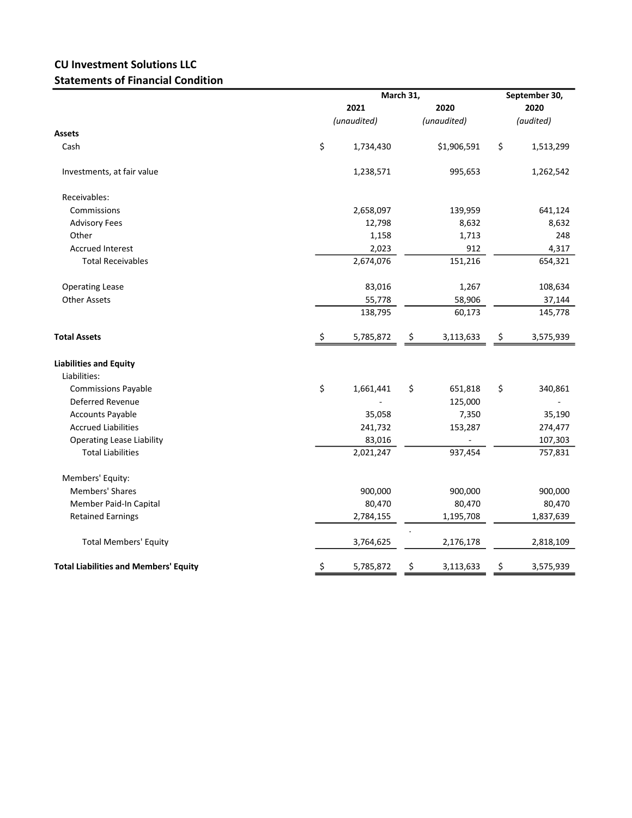## CU Investment Solutions LLC Statements of Financial Condition

|                                              |      | March 31,   |    |             |    | September 30, |  |  |
|----------------------------------------------|------|-------------|----|-------------|----|---------------|--|--|
|                                              | 2021 |             |    | 2020        |    | 2020          |  |  |
|                                              |      | (unaudited) |    | (unaudited) |    | (audited)     |  |  |
| Assets                                       |      |             |    |             |    |               |  |  |
| Cash                                         | \$   | 1,734,430   |    | \$1,906,591 | \$ | 1,513,299     |  |  |
| Investments, at fair value                   |      | 1,238,571   |    | 995,653     |    | 1,262,542     |  |  |
| Receivables:                                 |      |             |    |             |    |               |  |  |
| Commissions                                  |      | 2,658,097   |    | 139,959     |    | 641,124       |  |  |
| <b>Advisory Fees</b>                         |      | 12,798      |    | 8,632       |    | 8,632         |  |  |
| Other                                        |      | 1,158       |    | 1,713       |    | 248           |  |  |
| <b>Accrued Interest</b>                      |      | 2,023       |    | 912         |    | 4,317         |  |  |
| <b>Total Receivables</b>                     |      | 2,674,076   |    | 151,216     |    | 654,321       |  |  |
| <b>Operating Lease</b>                       |      | 83,016      |    | 1,267       |    | 108,634       |  |  |
| <b>Other Assets</b>                          |      | 55,778      |    | 58,906      |    | 37,144        |  |  |
|                                              |      | 138,795     |    | 60,173      |    | 145,778       |  |  |
| <b>Total Assets</b>                          | \$   | 5,785,872   | \$ | 3,113,633   | \$ | 3,575,939     |  |  |
| <b>Liabilities and Equity</b>                |      |             |    |             |    |               |  |  |
| Liabilities:                                 |      |             |    |             |    |               |  |  |
| <b>Commissions Payable</b>                   | \$   | 1,661,441   | \$ | 651,818     | \$ | 340,861       |  |  |
| Deferred Revenue                             |      |             |    | 125,000     |    |               |  |  |
| <b>Accounts Payable</b>                      |      | 35,058      |    | 7,350       |    | 35,190        |  |  |
| <b>Accrued Liabilities</b>                   |      | 241,732     |    | 153,287     |    | 274,477       |  |  |
| <b>Operating Lease Liability</b>             |      | 83,016      |    |             |    | 107,303       |  |  |
| <b>Total Liabilities</b>                     |      | 2,021,247   |    | 937,454     |    | 757,831       |  |  |
| Members' Equity:                             |      |             |    |             |    |               |  |  |
| <b>Members' Shares</b>                       |      | 900,000     |    | 900,000     |    | 900,000       |  |  |
| Member Paid-In Capital                       |      | 80,470      |    | 80,470      |    | 80,470        |  |  |
| <b>Retained Earnings</b>                     |      | 2,784,155   |    | 1,195,708   |    | 1,837,639     |  |  |
| <b>Total Members' Equity</b>                 |      | 3,764,625   |    | 2,176,178   |    | 2,818,109     |  |  |
| <b>Total Liabilities and Members' Equity</b> | \$   | 5,785,872   | \$ | 3,113,633   | \$ | 3,575,939     |  |  |